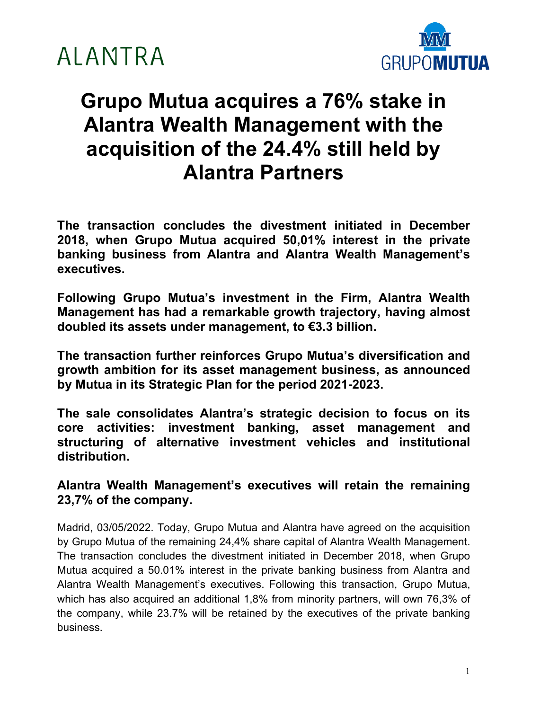



### **Grupo Mutua acquires a 76% stake in Alantra Wealth Management with the acquisition of the 24.4% still held by Alantra Partners**

**The transaction concludes the divestment initiated in December 2018, when Grupo Mutua acquired 50,01% interest in the private banking business from Alantra and Alantra Wealth Management's executives.** 

**Following Grupo Mutua's investment in the Firm, Alantra Wealth Management has had a remarkable growth trajectory, having almost doubled its assets under management, to €3.3 billion.**

**The transaction further reinforces Grupo Mutua's diversification and growth ambition for its asset management business, as announced by Mutua in its Strategic Plan for the period 2021-2023.**

**The sale consolidates Alantra's strategic decision to focus on its core activities: investment banking, asset management and structuring of alternative investment vehicles and institutional distribution.**

**Alantra Wealth Management's executives will retain the remaining 23,7% of the company.**

Madrid, 03/05/2022. Today, Grupo Mutua and Alantra have agreed on the acquisition by Grupo Mutua of the remaining 24,4% share capital of Alantra Wealth Management. The transaction concludes the divestment initiated in December 2018, when Grupo Mutua acquired a 50.01% interest in the private banking business from Alantra and Alantra Wealth Management's executives. Following this transaction, Grupo Mutua, which has also acquired an additional 1,8% from minority partners, will own 76,3% of the company, while 23.7% will be retained by the executives of the private banking business.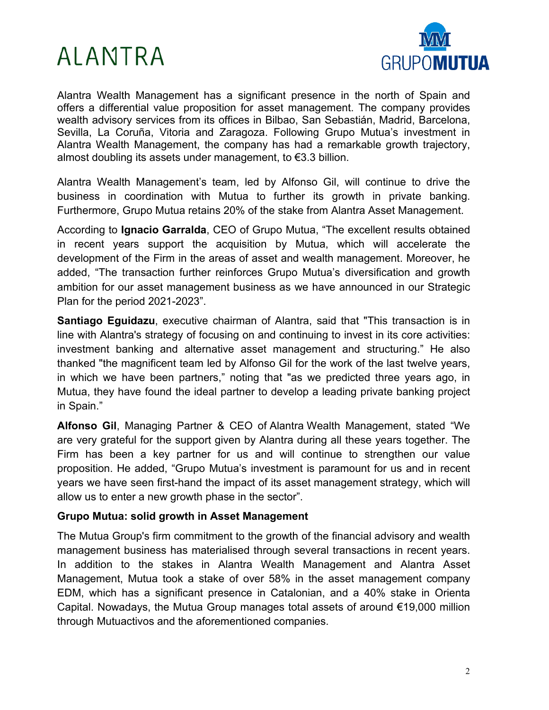## ALANTRA



Alantra Wealth Management has a significant presence in the north of Spain and offers a differential value proposition for asset management. The company provides wealth advisory services from its offices in Bilbao, San Sebastián, Madrid, Barcelona, Sevilla, La Coruña, Vitoria and Zaragoza. Following Grupo Mutua's investment in Alantra Wealth Management, the company has had a remarkable growth trajectory, almost doubling its assets under management, to €3.3 billion.

Alantra Wealth Management's team, led by Alfonso Gil, will continue to drive the business in coordination with Mutua to further its growth in private banking. Furthermore, Grupo Mutua retains 20% of the stake from Alantra Asset Management.

According to **Ignacio Garralda**, CEO of Grupo Mutua, "The excellent results obtained in recent years support the acquisition by Mutua, which will accelerate the development of the Firm in the areas of asset and wealth management. Moreover, he added, "The transaction further reinforces Grupo Mutua's diversification and growth ambition for our asset management business as we have announced in our Strategic Plan for the period 2021-2023".

**Santiago Eguidazu**, executive chairman of Alantra, said that "This transaction is in line with Alantra's strategy of focusing on and continuing to invest in its core activities: investment banking and alternative asset management and structuring." He also thanked "the magnificent team led by Alfonso Gil for the work of the last twelve years, in which we have been partners," noting that "as we predicted three years ago, in Mutua, they have found the ideal partner to develop a leading private banking project in Spain."

**Alfonso Gil**, Managing Partner & CEO of Alantra Wealth Management, stated "We are very grateful for the support given by Alantra during all these years together. The Firm has been a key partner for us and will continue to strengthen our value proposition. He added, "Grupo Mutua's investment is paramount for us and in recent years we have seen first-hand the impact of its asset management strategy, which will allow us to enter a new growth phase in the sector".

#### **Grupo Mutua: solid growth in Asset Management**

The Mutua Group's firm commitment to the growth of the financial advisory and wealth management business has materialised through several transactions in recent years. In addition to the stakes in Alantra Wealth Management and Alantra Asset Management, Mutua took a stake of over 58% in the asset management company EDM, which has a significant presence in Catalonian, and a 40% stake in Orienta Capital. Nowadays, the Mutua Group manages total assets of around €19,000 million through Mutuactivos and the aforementioned companies.